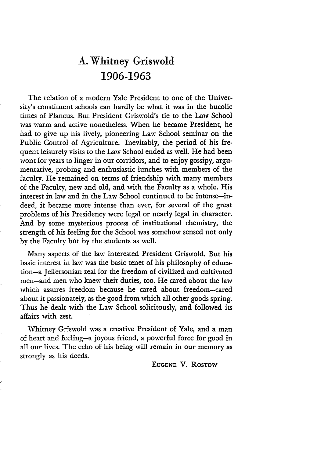## **A. Whitney Griswold 1906-1963**

The relation of a modem Yale President to one of the University's constituent schools can hardly be what it was in the bucolic times of Plancus. But President Griswold's tie to the Law School was warm and active nonetheless. When he became President, he had to give up his lively, pioneering Law School seminar on the Public Control of Agriculture. Inevitably, the period of his frequent leisurely visits to the Law School ended as well. He had been wont for years to linger in our corridors, and to enjoy gossipy, argumentative, probing and enthusiastic lunches with members of the faculty. He remained on terms of friendship with many members of the Faculty, new and old, and with the Faculty as a whole. His interest in law and in the Law School continued to be intense-indeed, it became more intense than ever, for several of the great problems of his Presidency were legal or nearly legal in character. And by some mysterious process of institutional chemistry, the strength of his feeling for the School was somehow sensed not only by the Faculty but by the students as well.

Many aspects of the law interested President Griswold. But his basic interest in law was the basic tenet of his philosophy of education-a Jeffersonian zeal for the freedom of civilized and cultivated men-and men who knew their duties, too. He cared about the law which assures freedom because he cared about freedom-cared about it passionately, as the good from which all other goods spring. Thus he dealt with the Law School solicitously, and followed its affairs with zest.

Whitney Griswold was a creative President of Yale, and a man of heart and feeling-a joyous friend, a powerful force for good in all our lives. The echo of his being will remain in our memory as strongly as his deeds.

**EUGENE** V. Rosrow